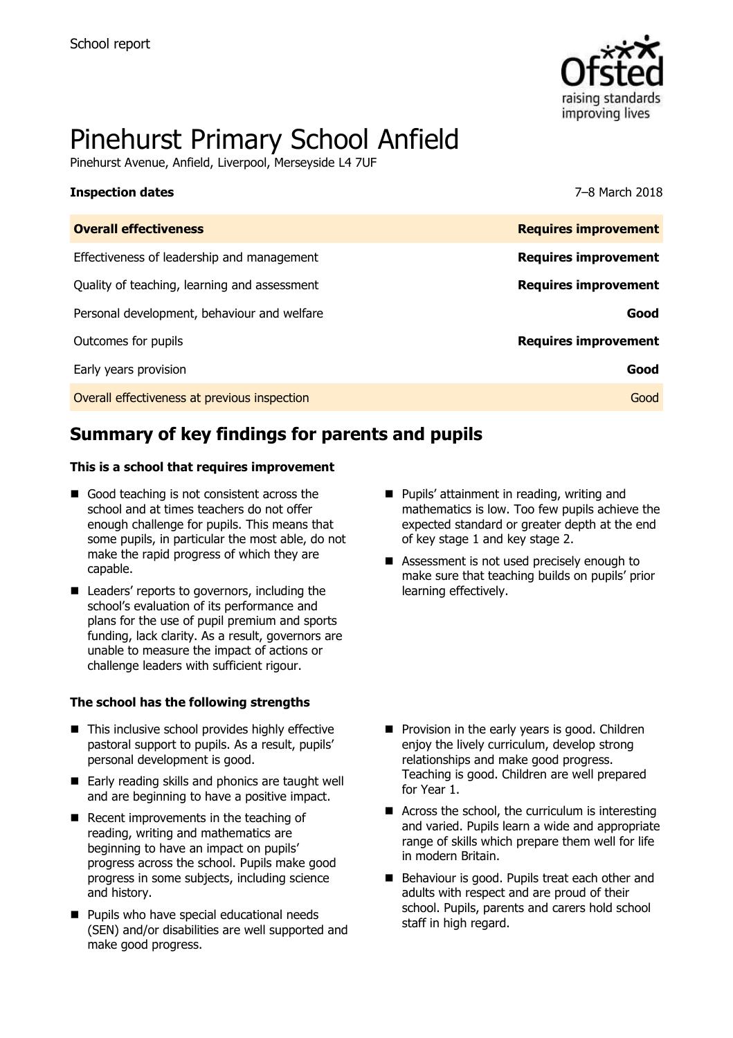

# Pinehurst Primary School Anfield

Pinehurst Avenue, Anfield, Liverpool, Merseyside L4 7UF

#### **Inspection dates** 7–8 March 2018

| <b>Overall effectiveness</b>                 | <b>Requires improvement</b> |
|----------------------------------------------|-----------------------------|
| Effectiveness of leadership and management   | <b>Requires improvement</b> |
| Quality of teaching, learning and assessment | <b>Requires improvement</b> |
| Personal development, behaviour and welfare  | Good                        |
| Outcomes for pupils                          | <b>Requires improvement</b> |
| Early years provision                        | Good                        |
| Overall effectiveness at previous inspection | Good                        |
|                                              |                             |

# **Summary of key findings for parents and pupils**

#### **This is a school that requires improvement**

- Good teaching is not consistent across the school and at times teachers do not offer enough challenge for pupils. This means that some pupils, in particular the most able, do not make the rapid progress of which they are capable.
- Leaders' reports to governors, including the school's evaluation of its performance and plans for the use of pupil premium and sports funding, lack clarity. As a result, governors are unable to measure the impact of actions or challenge leaders with sufficient rigour.

#### **The school has the following strengths**

- This inclusive school provides highly effective pastoral support to pupils. As a result, pupils' personal development is good.
- Early reading skills and phonics are taught well and are beginning to have a positive impact.
- Recent improvements in the teaching of reading, writing and mathematics are beginning to have an impact on pupils' progress across the school. Pupils make good progress in some subjects, including science and history.
- **Pupils who have special educational needs** (SEN) and/or disabilities are well supported and make good progress.
- **Pupils' attainment in reading, writing and** mathematics is low. Too few pupils achieve the expected standard or greater depth at the end of key stage 1 and key stage 2.
- Assessment is not used precisely enough to make sure that teaching builds on pupils' prior learning effectively.

- **Provision in the early years is good. Children** enjoy the lively curriculum, develop strong relationships and make good progress. Teaching is good. Children are well prepared for Year 1.
- Across the school, the curriculum is interesting and varied. Pupils learn a wide and appropriate range of skills which prepare them well for life in modern Britain.
- Behaviour is good. Pupils treat each other and adults with respect and are proud of their school. Pupils, parents and carers hold school staff in high regard.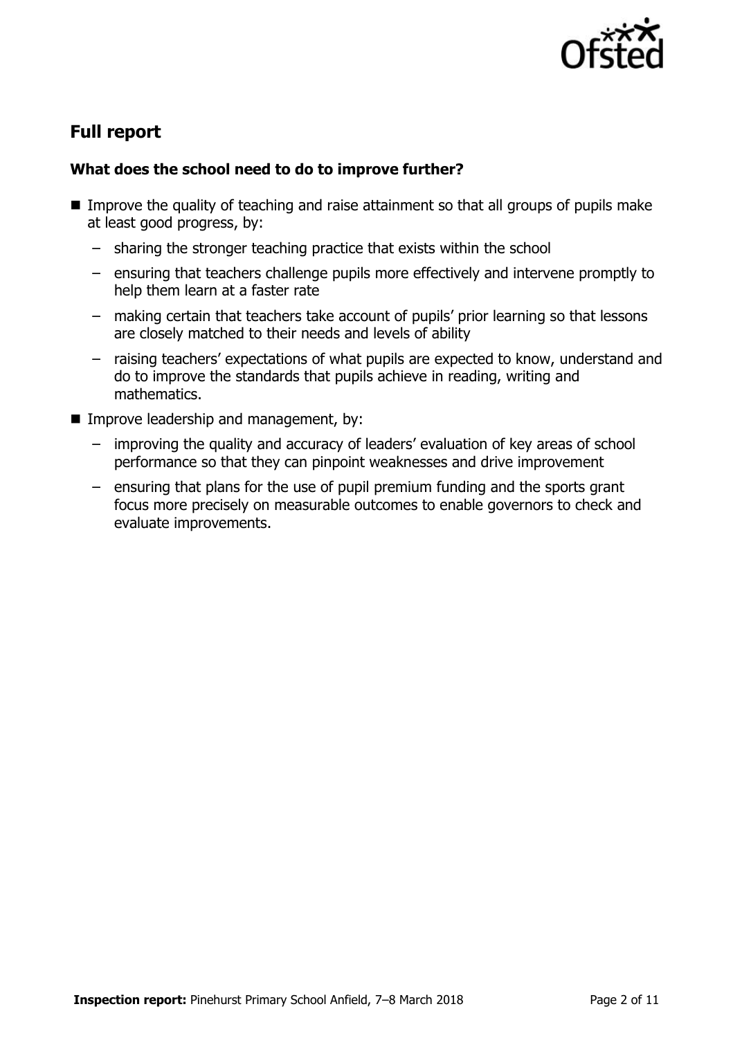

# **Full report**

### **What does the school need to do to improve further?**

- Improve the quality of teaching and raise attainment so that all groups of pupils make at least good progress, by:
	- sharing the stronger teaching practice that exists within the school
	- ensuring that teachers challenge pupils more effectively and intervene promptly to help them learn at a faster rate
	- making certain that teachers take account of pupils' prior learning so that lessons are closely matched to their needs and levels of ability
	- raising teachers' expectations of what pupils are expected to know, understand and do to improve the standards that pupils achieve in reading, writing and mathematics.
- **Improve leadership and management, by:** 
	- improving the quality and accuracy of leaders' evaluation of key areas of school performance so that they can pinpoint weaknesses and drive improvement
	- ensuring that plans for the use of pupil premium funding and the sports grant focus more precisely on measurable outcomes to enable governors to check and evaluate improvements.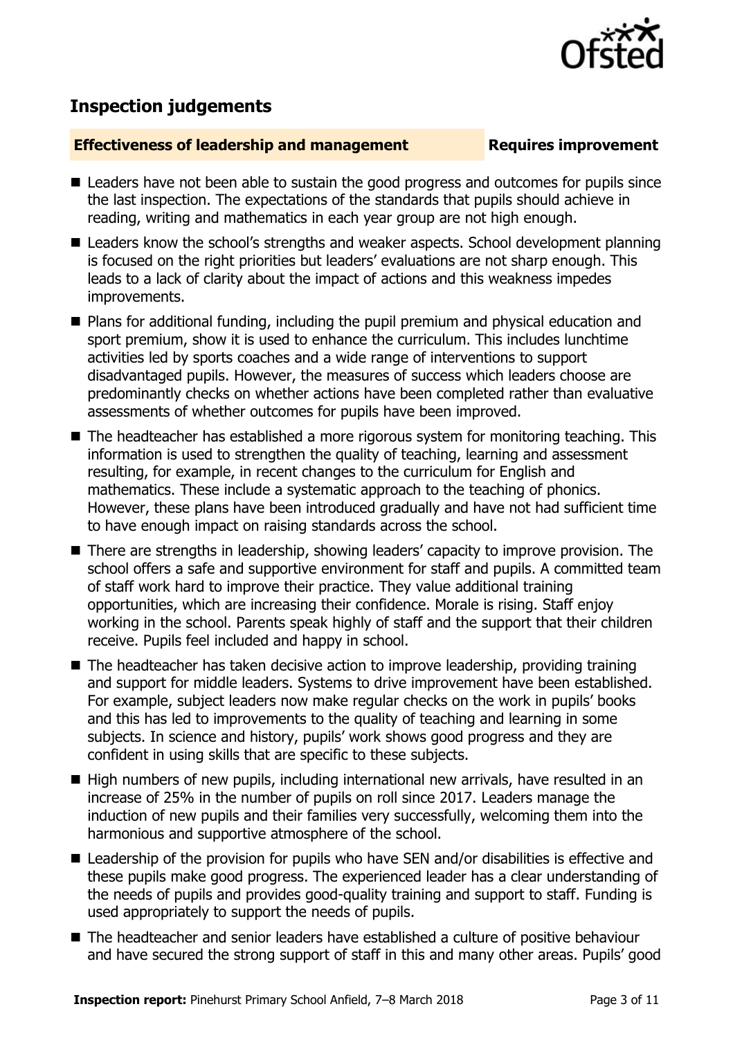# **Inspection judgements**

#### **Effectiveness of leadership and management Requires improvement**

- Leaders have not been able to sustain the good progress and outcomes for pupils since the last inspection. The expectations of the standards that pupils should achieve in reading, writing and mathematics in each year group are not high enough.
- Leaders know the school's strengths and weaker aspects. School development planning is focused on the right priorities but leaders' evaluations are not sharp enough. This leads to a lack of clarity about the impact of actions and this weakness impedes improvements.
- Plans for additional funding, including the pupil premium and physical education and sport premium, show it is used to enhance the curriculum. This includes lunchtime activities led by sports coaches and a wide range of interventions to support disadvantaged pupils. However, the measures of success which leaders choose are predominantly checks on whether actions have been completed rather than evaluative assessments of whether outcomes for pupils have been improved.
- The headteacher has established a more rigorous system for monitoring teaching. This information is used to strengthen the quality of teaching, learning and assessment resulting, for example, in recent changes to the curriculum for English and mathematics. These include a systematic approach to the teaching of phonics. However, these plans have been introduced gradually and have not had sufficient time to have enough impact on raising standards across the school.
- There are strengths in leadership, showing leaders' capacity to improve provision. The school offers a safe and supportive environment for staff and pupils. A committed team of staff work hard to improve their practice. They value additional training opportunities, which are increasing their confidence. Morale is rising. Staff enjoy working in the school. Parents speak highly of staff and the support that their children receive. Pupils feel included and happy in school.
- The headteacher has taken decisive action to improve leadership, providing training and support for middle leaders. Systems to drive improvement have been established. For example, subject leaders now make regular checks on the work in pupils' books and this has led to improvements to the quality of teaching and learning in some subjects. In science and history, pupils' work shows good progress and they are confident in using skills that are specific to these subjects.
- High numbers of new pupils, including international new arrivals, have resulted in an increase of 25% in the number of pupils on roll since 2017. Leaders manage the induction of new pupils and their families very successfully, welcoming them into the harmonious and supportive atmosphere of the school.
- Leadership of the provision for pupils who have SEN and/or disabilities is effective and these pupils make good progress. The experienced leader has a clear understanding of the needs of pupils and provides good-quality training and support to staff. Funding is used appropriately to support the needs of pupils.
- The headteacher and senior leaders have established a culture of positive behaviour and have secured the strong support of staff in this and many other areas. Pupils' good

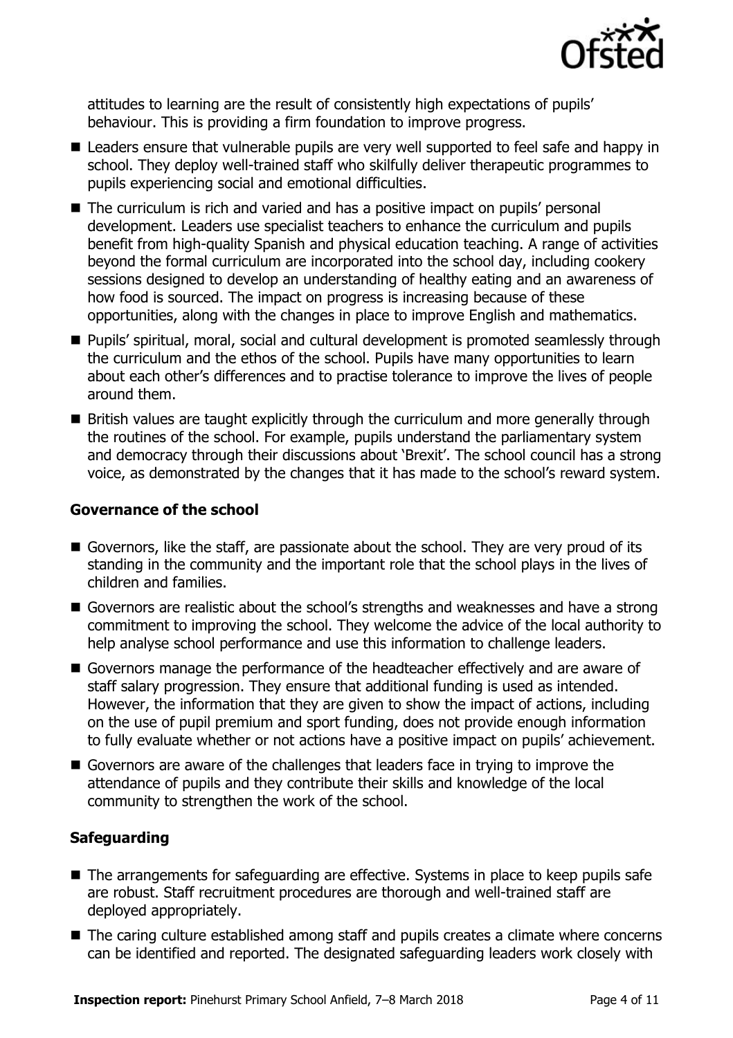

attitudes to learning are the result of consistently high expectations of pupils' behaviour. This is providing a firm foundation to improve progress.

- Leaders ensure that vulnerable pupils are very well supported to feel safe and happy in school. They deploy well-trained staff who skilfully deliver therapeutic programmes to pupils experiencing social and emotional difficulties.
- The curriculum is rich and varied and has a positive impact on pupils' personal development. Leaders use specialist teachers to enhance the curriculum and pupils benefit from high-quality Spanish and physical education teaching. A range of activities beyond the formal curriculum are incorporated into the school day, including cookery sessions designed to develop an understanding of healthy eating and an awareness of how food is sourced. The impact on progress is increasing because of these opportunities, along with the changes in place to improve English and mathematics.
- **Pupils' spiritual, moral, social and cultural development is promoted seamlessly through** the curriculum and the ethos of the school. Pupils have many opportunities to learn about each other's differences and to practise tolerance to improve the lives of people around them.
- **British values are taught explicitly through the curriculum and more generally through** the routines of the school. For example, pupils understand the parliamentary system and democracy through their discussions about 'Brexit'. The school council has a strong voice, as demonstrated by the changes that it has made to the school's reward system.

#### **Governance of the school**

- Governors, like the staff, are passionate about the school. They are very proud of its standing in the community and the important role that the school plays in the lives of children and families.
- Governors are realistic about the school's strengths and weaknesses and have a strong commitment to improving the school. They welcome the advice of the local authority to help analyse school performance and use this information to challenge leaders.
- Governors manage the performance of the headteacher effectively and are aware of staff salary progression. They ensure that additional funding is used as intended. However, the information that they are given to show the impact of actions, including on the use of pupil premium and sport funding, does not provide enough information to fully evaluate whether or not actions have a positive impact on pupils' achievement.
- Governors are aware of the challenges that leaders face in trying to improve the attendance of pupils and they contribute their skills and knowledge of the local community to strengthen the work of the school.

#### **Safeguarding**

- The arrangements for safeguarding are effective. Systems in place to keep pupils safe are robust. Staff recruitment procedures are thorough and well-trained staff are deployed appropriately.
- The caring culture established among staff and pupils creates a climate where concerns can be identified and reported. The designated safeguarding leaders work closely with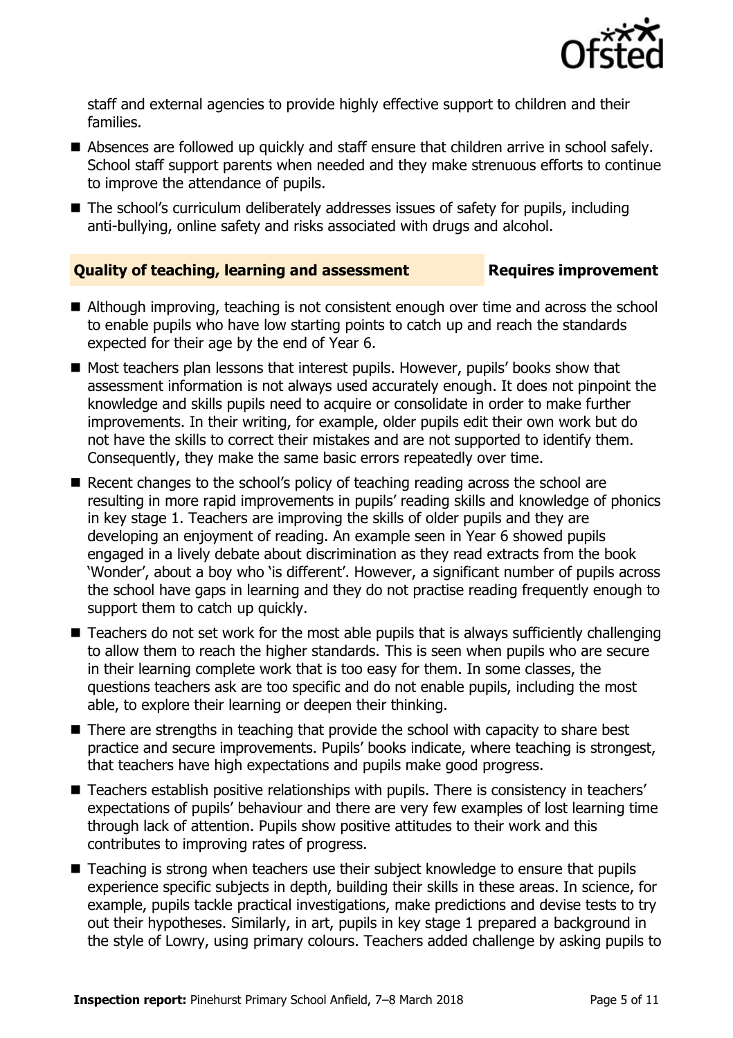

staff and external agencies to provide highly effective support to children and their families.

- Absences are followed up quickly and staff ensure that children arrive in school safely. School staff support parents when needed and they make strenuous efforts to continue to improve the attendance of pupils.
- The school's curriculum deliberately addresses issues of safety for pupils, including anti-bullying, online safety and risks associated with drugs and alcohol.

### **Quality of teaching, learning and assessment Requires improvement**

- Although improving, teaching is not consistent enough over time and across the school to enable pupils who have low starting points to catch up and reach the standards expected for their age by the end of Year 6.
- Most teachers plan lessons that interest pupils. However, pupils' books show that assessment information is not always used accurately enough. It does not pinpoint the knowledge and skills pupils need to acquire or consolidate in order to make further improvements. In their writing, for example, older pupils edit their own work but do not have the skills to correct their mistakes and are not supported to identify them. Consequently, they make the same basic errors repeatedly over time.
- Recent changes to the school's policy of teaching reading across the school are resulting in more rapid improvements in pupils' reading skills and knowledge of phonics in key stage 1. Teachers are improving the skills of older pupils and they are developing an enjoyment of reading. An example seen in Year 6 showed pupils engaged in a lively debate about discrimination as they read extracts from the book 'Wonder', about a boy who 'is different'. However, a significant number of pupils across the school have gaps in learning and they do not practise reading frequently enough to support them to catch up quickly.
- Teachers do not set work for the most able pupils that is always sufficiently challenging to allow them to reach the higher standards. This is seen when pupils who are secure in their learning complete work that is too easy for them. In some classes, the questions teachers ask are too specific and do not enable pupils, including the most able, to explore their learning or deepen their thinking.
- There are strengths in teaching that provide the school with capacity to share best practice and secure improvements. Pupils' books indicate, where teaching is strongest, that teachers have high expectations and pupils make good progress.
- Teachers establish positive relationships with pupils. There is consistency in teachers' expectations of pupils' behaviour and there are very few examples of lost learning time through lack of attention. Pupils show positive attitudes to their work and this contributes to improving rates of progress.
- Teaching is strong when teachers use their subject knowledge to ensure that pupils experience specific subjects in depth, building their skills in these areas. In science, for example, pupils tackle practical investigations, make predictions and devise tests to try out their hypotheses. Similarly, in art, pupils in key stage 1 prepared a background in the style of Lowry, using primary colours. Teachers added challenge by asking pupils to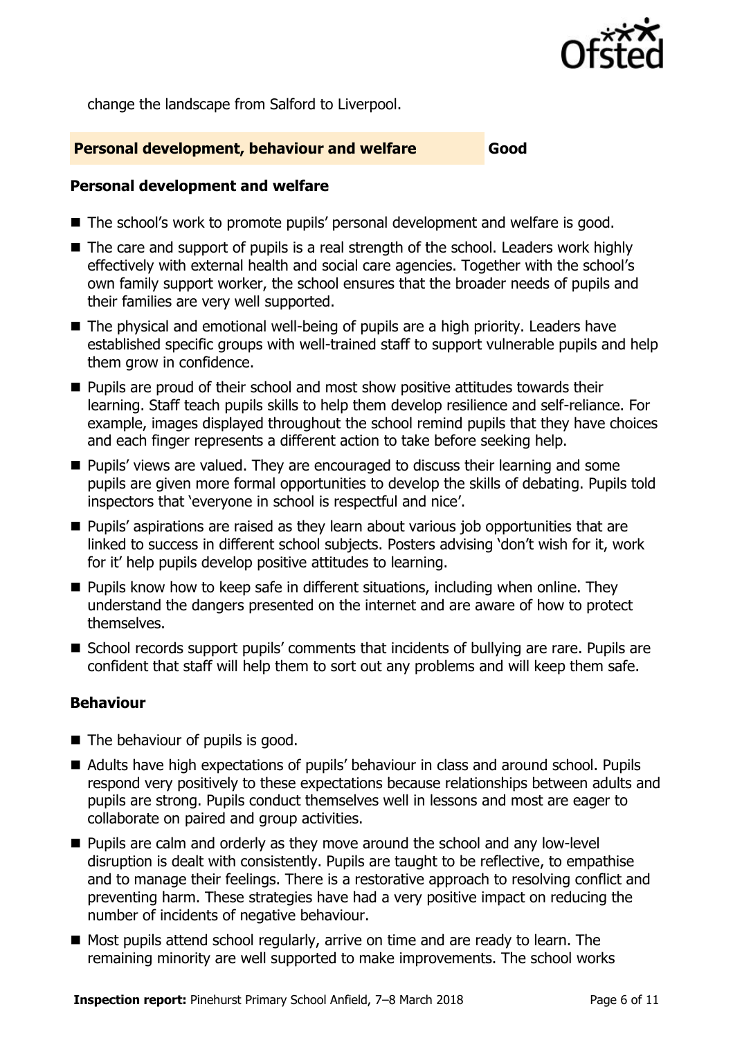

change the landscape from Salford to Liverpool.

#### **Personal development, behaviour and welfare Good**

#### **Personal development and welfare**

- The school's work to promote pupils' personal development and welfare is good.
- The care and support of pupils is a real strength of the school. Leaders work highly effectively with external health and social care agencies. Together with the school's own family support worker, the school ensures that the broader needs of pupils and their families are very well supported.
- The physical and emotional well-being of pupils are a high priority. Leaders have established specific groups with well-trained staff to support vulnerable pupils and help them grow in confidence.
- **Pupils are proud of their school and most show positive attitudes towards their** learning. Staff teach pupils skills to help them develop resilience and self-reliance. For example, images displayed throughout the school remind pupils that they have choices and each finger represents a different action to take before seeking help.
- **Pupils'** views are valued. They are encouraged to discuss their learning and some pupils are given more formal opportunities to develop the skills of debating. Pupils told inspectors that 'everyone in school is respectful and nice'.
- **Pupils'** aspirations are raised as they learn about various job opportunities that are linked to success in different school subjects. Posters advising 'don't wish for it, work for it' help pupils develop positive attitudes to learning.
- $\blacksquare$  Pupils know how to keep safe in different situations, including when online. They understand the dangers presented on the internet and are aware of how to protect themselves.
- School records support pupils' comments that incidents of bullying are rare. Pupils are confident that staff will help them to sort out any problems and will keep them safe.

#### **Behaviour**

- The behaviour of pupils is good.
- Adults have high expectations of pupils' behaviour in class and around school. Pupils respond very positively to these expectations because relationships between adults and pupils are strong. Pupils conduct themselves well in lessons and most are eager to collaborate on paired and group activities.
- **Pupils are calm and orderly as they move around the school and any low-level** disruption is dealt with consistently. Pupils are taught to be reflective, to empathise and to manage their feelings. There is a restorative approach to resolving conflict and preventing harm. These strategies have had a very positive impact on reducing the number of incidents of negative behaviour.
- Most pupils attend school regularly, arrive on time and are ready to learn. The remaining minority are well supported to make improvements. The school works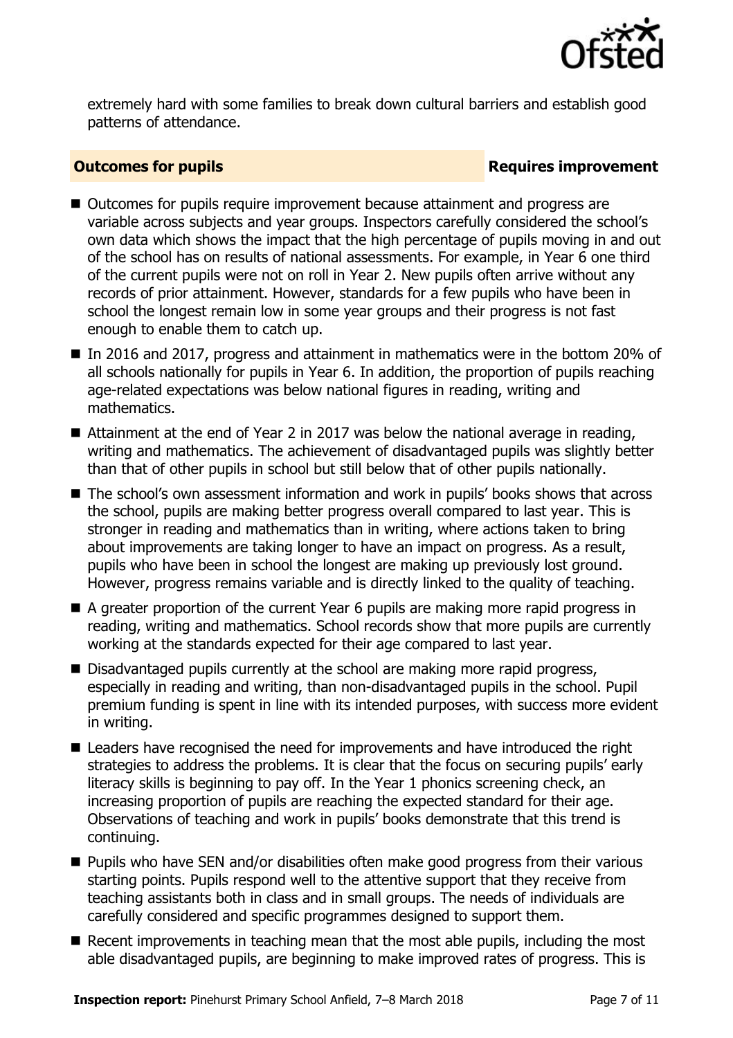

extremely hard with some families to break down cultural barriers and establish good patterns of attendance.

#### **Outcomes for pupils Requires improvement**

- Outcomes for pupils require improvement because attainment and progress are variable across subjects and year groups. Inspectors carefully considered the school's own data which shows the impact that the high percentage of pupils moving in and out of the school has on results of national assessments. For example, in Year 6 one third of the current pupils were not on roll in Year 2. New pupils often arrive without any records of prior attainment. However, standards for a few pupils who have been in school the longest remain low in some year groups and their progress is not fast enough to enable them to catch up.
- In 2016 and 2017, progress and attainment in mathematics were in the bottom 20% of all schools nationally for pupils in Year 6. In addition, the proportion of pupils reaching age-related expectations was below national figures in reading, writing and mathematics.
- Attainment at the end of Year 2 in 2017 was below the national average in reading, writing and mathematics. The achievement of disadvantaged pupils was slightly better than that of other pupils in school but still below that of other pupils nationally.
- The school's own assessment information and work in pupils' books shows that across the school, pupils are making better progress overall compared to last year. This is stronger in reading and mathematics than in writing, where actions taken to bring about improvements are taking longer to have an impact on progress. As a result, pupils who have been in school the longest are making up previously lost ground. However, progress remains variable and is directly linked to the quality of teaching.
- A greater proportion of the current Year 6 pupils are making more rapid progress in reading, writing and mathematics. School records show that more pupils are currently working at the standards expected for their age compared to last year.
- Disadvantaged pupils currently at the school are making more rapid progress, especially in reading and writing, than non-disadvantaged pupils in the school. Pupil premium funding is spent in line with its intended purposes, with success more evident in writing.
- Leaders have recognised the need for improvements and have introduced the right strategies to address the problems. It is clear that the focus on securing pupils' early literacy skills is beginning to pay off. In the Year 1 phonics screening check, an increasing proportion of pupils are reaching the expected standard for their age. Observations of teaching and work in pupils' books demonstrate that this trend is continuing.
- **Pupils who have SEN and/or disabilities often make good progress from their various** starting points. Pupils respond well to the attentive support that they receive from teaching assistants both in class and in small groups. The needs of individuals are carefully considered and specific programmes designed to support them.
- Recent improvements in teaching mean that the most able pupils, including the most able disadvantaged pupils, are beginning to make improved rates of progress. This is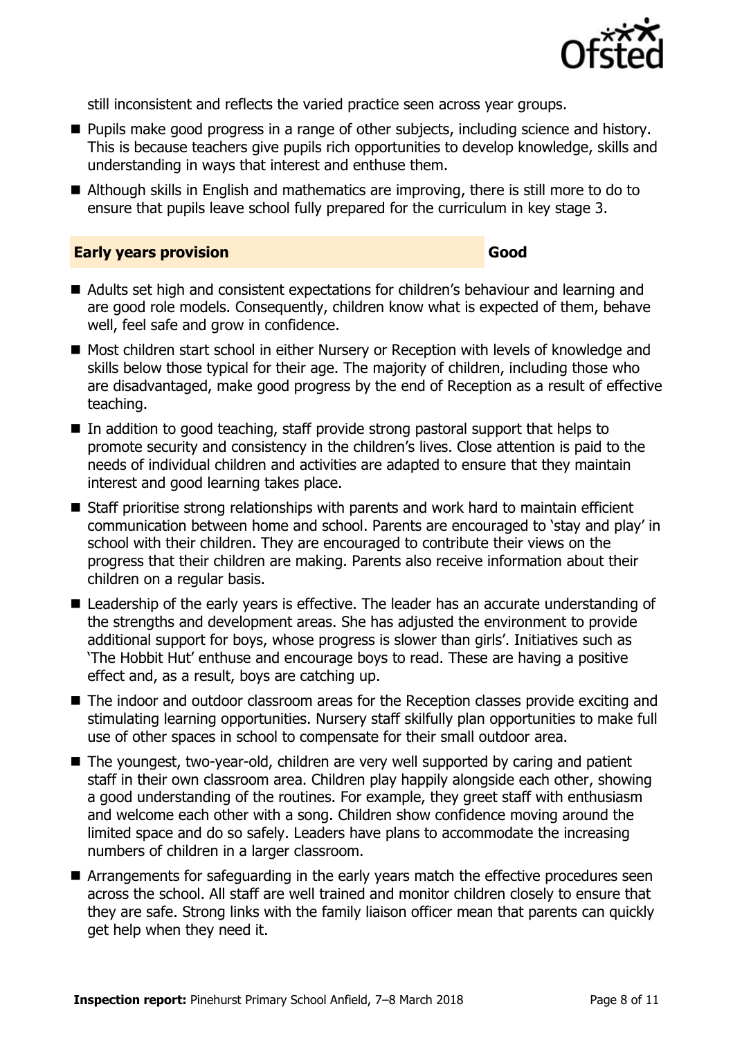

still inconsistent and reflects the varied practice seen across year groups.

- **Pupils make good progress in a range of other subjects, including science and history.** This is because teachers give pupils rich opportunities to develop knowledge, skills and understanding in ways that interest and enthuse them.
- Although skills in English and mathematics are improving, there is still more to do to ensure that pupils leave school fully prepared for the curriculum in key stage 3.

#### **Early years provision Good Good**

- Adults set high and consistent expectations for children's behaviour and learning and are good role models. Consequently, children know what is expected of them, behave well, feel safe and grow in confidence.
- Most children start school in either Nursery or Reception with levels of knowledge and skills below those typical for their age. The majority of children, including those who are disadvantaged, make good progress by the end of Reception as a result of effective teaching.
- $\blacksquare$  In addition to good teaching, staff provide strong pastoral support that helps to promote security and consistency in the children's lives. Close attention is paid to the needs of individual children and activities are adapted to ensure that they maintain interest and good learning takes place.
- Staff prioritise strong relationships with parents and work hard to maintain efficient communication between home and school. Parents are encouraged to 'stay and play' in school with their children. They are encouraged to contribute their views on the progress that their children are making. Parents also receive information about their children on a regular basis.
- Leadership of the early years is effective. The leader has an accurate understanding of the strengths and development areas. She has adjusted the environment to provide additional support for boys, whose progress is slower than girls'. Initiatives such as 'The Hobbit Hut' enthuse and encourage boys to read. These are having a positive effect and, as a result, boys are catching up.
- The indoor and outdoor classroom areas for the Reception classes provide exciting and stimulating learning opportunities. Nursery staff skilfully plan opportunities to make full use of other spaces in school to compensate for their small outdoor area.
- The youngest, two-year-old, children are very well supported by caring and patient staff in their own classroom area. Children play happily alongside each other, showing a good understanding of the routines. For example, they greet staff with enthusiasm and welcome each other with a song. Children show confidence moving around the limited space and do so safely. Leaders have plans to accommodate the increasing numbers of children in a larger classroom.
- Arrangements for safeguarding in the early years match the effective procedures seen across the school. All staff are well trained and monitor children closely to ensure that they are safe. Strong links with the family liaison officer mean that parents can quickly get help when they need it.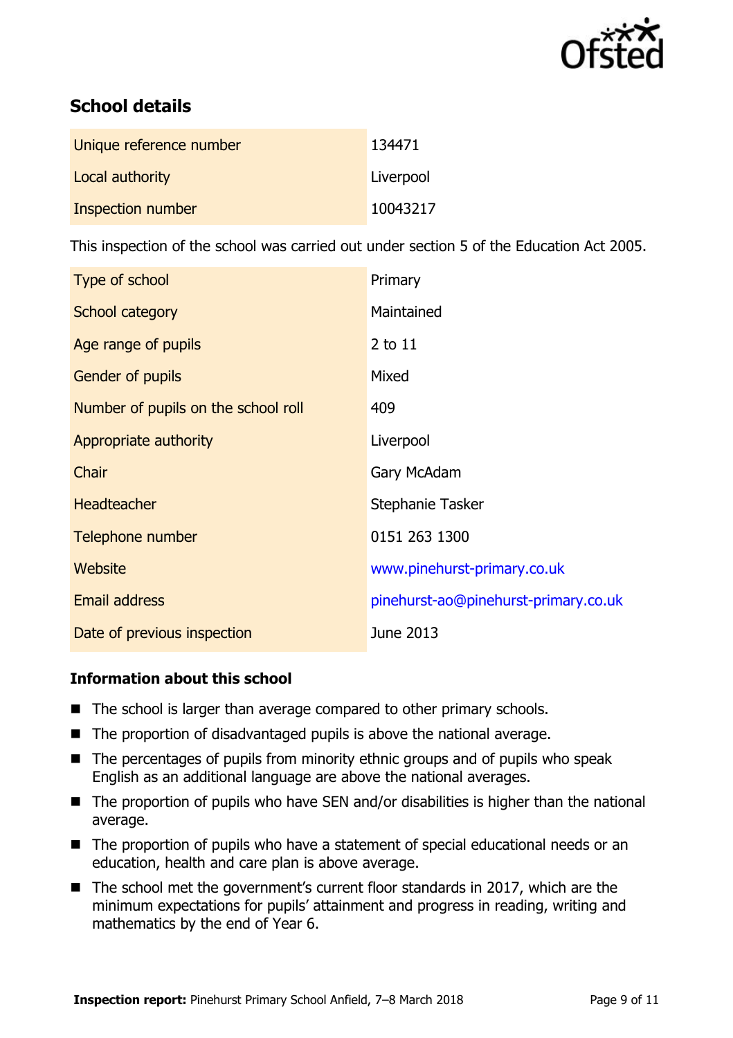

# **School details**

| Unique reference number | 134471    |
|-------------------------|-----------|
| Local authority         | Liverpool |
| Inspection number       | 10043217  |

This inspection of the school was carried out under section 5 of the Education Act 2005.

| Type of school                      | Primary                              |
|-------------------------------------|--------------------------------------|
| School category                     | Maintained                           |
| Age range of pupils                 | 2 to 11                              |
| <b>Gender of pupils</b>             | Mixed                                |
| Number of pupils on the school roll | 409                                  |
| Appropriate authority               | Liverpool                            |
| Chair                               | Gary McAdam                          |
| <b>Headteacher</b>                  | Stephanie Tasker                     |
| Telephone number                    | 0151 263 1300                        |
| Website                             | www.pinehurst-primary.co.uk          |
| <b>Email address</b>                | pinehurst-ao@pinehurst-primary.co.uk |
| Date of previous inspection         | June 2013                            |

#### **Information about this school**

- The school is larger than average compared to other primary schools.
- $\blacksquare$  The proportion of disadvantaged pupils is above the national average.
- $\blacksquare$  The percentages of pupils from minority ethnic groups and of pupils who speak English as an additional language are above the national averages.
- The proportion of pupils who have SEN and/or disabilities is higher than the national average.
- The proportion of pupils who have a statement of special educational needs or an education, health and care plan is above average.
- The school met the government's current floor standards in 2017, which are the minimum expectations for pupils' attainment and progress in reading, writing and mathematics by the end of Year 6.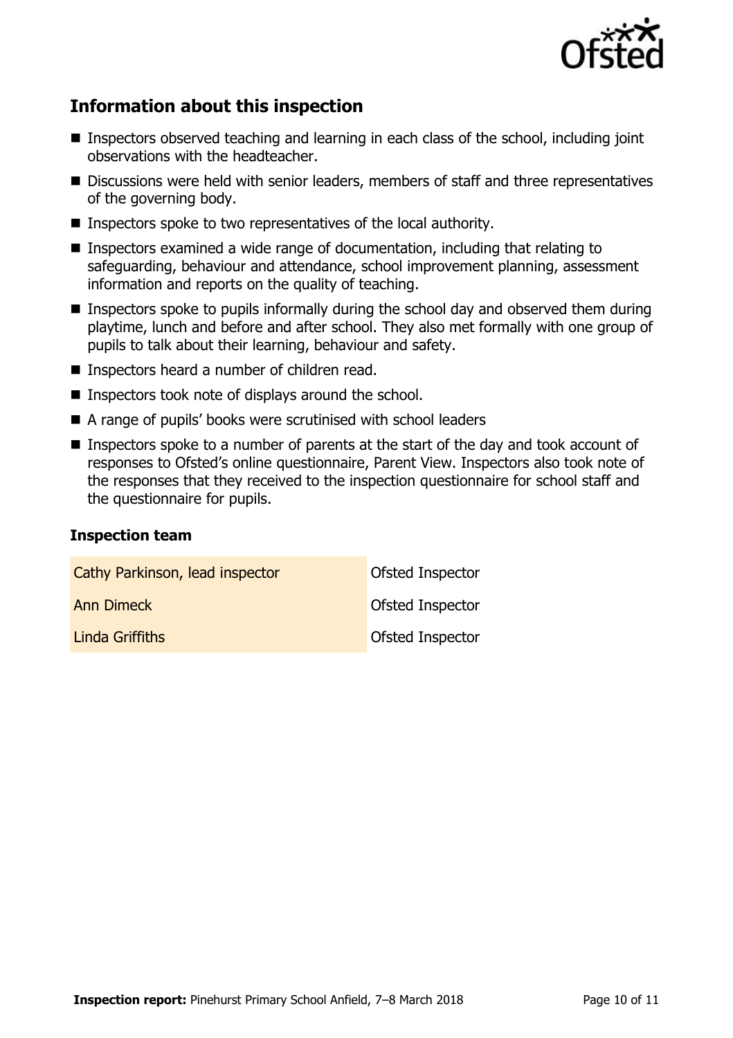

# **Information about this inspection**

- **Inspectors observed teaching and learning in each class of the school, including joint** observations with the headteacher.
- Discussions were held with senior leaders, members of staff and three representatives of the governing body.
- Inspectors spoke to two representatives of the local authority.
- Inspectors examined a wide range of documentation, including that relating to safeguarding, behaviour and attendance, school improvement planning, assessment information and reports on the quality of teaching.
- **Inspectors spoke to pupils informally during the school day and observed them during** playtime, lunch and before and after school. They also met formally with one group of pupils to talk about their learning, behaviour and safety.
- Inspectors heard a number of children read.
- $\blacksquare$  Inspectors took note of displays around the school.
- A range of pupils' books were scrutinised with school leaders
- **Inspectors spoke to a number of parents at the start of the day and took account of** responses to Ofsted's online questionnaire, Parent View. Inspectors also took note of the responses that they received to the inspection questionnaire for school staff and the questionnaire for pupils.

#### **Inspection team**

| Cathy Parkinson, lead inspector | Ofsted Inspector        |
|---------------------------------|-------------------------|
| <b>Ann Dimeck</b>               | Ofsted Inspector        |
| Linda Griffiths                 | <b>Ofsted Inspector</b> |